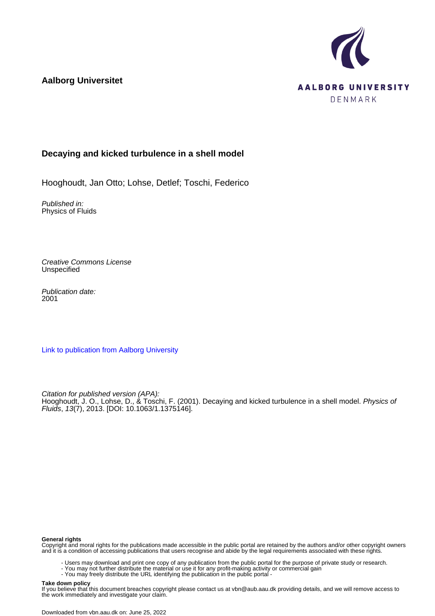**Aalborg Universitet**



# **Decaying and kicked turbulence in a shell model**

Hooghoudt, Jan Otto; Lohse, Detlef; Toschi, Federico

Published in: Physics of Fluids

Creative Commons License **Unspecified** 

Publication date: 2001

[Link to publication from Aalborg University](https://vbn.aau.dk/en/publications/d24fd306-8317-4725-b42b-fc515c5f4d3a)

Citation for published version (APA): Hooghoudt, J. O., Lohse, D., & Toschi, F. (2001). Decaying and kicked turbulence in a shell model. Physics of Fluids, 13(7), 2013. [DOI: 10.1063/1.1375146].

#### **General rights**

Copyright and moral rights for the publications made accessible in the public portal are retained by the authors and/or other copyright owners and it is a condition of accessing publications that users recognise and abide by the legal requirements associated with these rights.

- Users may download and print one copy of any publication from the public portal for the purpose of private study or research.
- You may not further distribute the material or use it for any profit-making activity or commercial gain
- You may freely distribute the URL identifying the publication in the public portal -

#### **Take down policy**

If you believe that this document breaches copyright please contact us at vbn@aub.aau.dk providing details, and we will remove access to the work immediately and investigate your claim.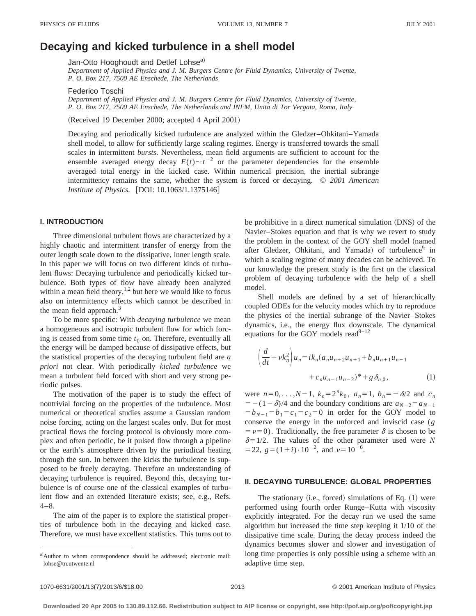# **Decaying and kicked turbulence in a shell model**

Jan-Otto Hooghoudt and Detlef Lohse<sup>a)</sup>

*Department of Applied Physics and J. M. Burgers Centre for Fluid Dynamics, University of Twente, P. O. Box 217, 7500 AE Enschede, The Netherlands*

#### Federico Toschi

*Department of Applied Physics and J. M. Burgers Centre for Fluid Dynamics, University of Twente, P. O. Box 217, 7500 AE Enschede, The Netherlands and INFM, Unita´ di Tor Vergata, Roma, Italy*

(Received 19 December 2000; accepted 4 April 2001)

Decaying and periodically kicked turbulence are analyzed within the Gledzer–Ohkitani–Yamada shell model, to allow for sufficiently large scaling regimes. Energy is transferred towards the small scales in intermittent *bursts*. Nevertheless, mean field arguments are sufficient to account for the ensemble averaged energy decay  $E(t) \sim t^{-2}$  or the parameter dependencies for the ensemble averaged total energy in the kicked case. Within numerical precision, the inertial subrange intermittency remains the same, whether the system is forced or decaying. © *2001 American Institute of Physics.* [DOI: 10.1063/1.1375146]

## **I. INTRODUCTION**

Three dimensional turbulent flows are characterized by a highly chaotic and intermittent transfer of energy from the outer length scale down to the dissipative, inner length scale. In this paper we will focus on two different kinds of turbulent flows: Decaying turbulence and periodically kicked turbulence. Both types of flow have already been analyzed within a mean field theory, $1,2$  but here we would like to focus also on intermittency effects which cannot be described in the mean field approach.<sup>3</sup>

To be more specific: With *decaying turbulence* we mean a homogeneous and isotropic turbulent flow for which forcing is ceased from some time  $t_0$  on. Therefore, eventually all the energy will be damped because of dissipative effects, but the statistical properties of the decaying turbulent field are *a priori* not clear. With periodically *kicked turbulence* we mean a turbulent field forced with short and very strong periodic pulses.

The motivation of the paper is to study the effect of nontrivial forcing on the properties of the turbulence. Most numerical or theoretical studies assume a Gaussian random noise forcing, acting on the largest scales only. But for most practical flows the forcing protocol is obviously more complex and often periodic, be it pulsed flow through a pipeline or the earth's atmosphere driven by the periodical heating through the sun. In between the kicks the turbulence is supposed to be freely decaying. Therefore an understanding of decaying turbulence is required. Beyond this, decaying turbulence is of course one of the classical examples of turbulent flow and an extended literature exists; see, e.g., Refs.  $4 - 8$ .

The aim of the paper is to explore the statistical properties of turbulence both in the decaying and kicked case. Therefore, we must have excellent statistics. This turns out to be prohibitive in a direct numerical simulation (DNS) of the Navier–Stokes equation and that is why we revert to study the problem in the context of the GOY shell model (named after Gledzer, Ohkitani, and Yamada) of turbulence<sup>9</sup> in which a scaling regime of many decades can be achieved. To our knowledge the present study is the first on the classical problem of decaying turbulence with the help of a shell model.

Shell models are defined by a set of hierarchically coupled ODEs for the velocity modes which try to reproduce the physics of the inertial subrange of the Navier–Stokes dynamics, i.e., the energy flux downscale. The dynamical equations for the GOY models read $9-12$ 

$$
\left(\frac{d}{dt} + \nu k_n^2\right)u_n = ik_n(a_nu_{n+2}u_{n+1} + b_nu_{n+1}u_{n-1} + c_nu_{n-1}u_{n-2})^* + g\,\delta_{n,0},\tag{1}
$$

were  $n=0, ..., N-1$ ,  $k_n=2^n k_0$ ,  $a_n=1$ ,  $b_n=-\delta/2$  and  $c_n$  $=$   $-(1-\delta)/4$  and the boundary conditions are  $a_{N-2} = a_{N-1}$  $= b_{N-1} = b_1 = c_1 = c_2 = 0$  in order for the GOY model to conserve the energy in the unforced and inviscid case (*g*  $= \nu = 0$ ). Traditionally, the free parameter  $\delta$  is chosen to be  $\delta$ =1/2. The values of the other parameter used were *N*  $=$  22,  $g = (1+i) \cdot 10^{-2}$ , and  $\nu = 10^{-6}$ .

#### **II. DECAYING TURBULENCE: GLOBAL PROPERTIES**

The stationary  $(i.e., forced)$  simulations of Eq.  $(1)$  were performed using fourth order Runge–Kutta with viscosity explicitly integrated. For the decay run we used the same algorithm but increased the time step keeping it 1/10 of the dissipative time scale. During the decay process indeed the dynamics becomes slower and slower and investigation of long time properties is only possible using a scheme with an adaptive time step.

a)Author to whom correspondence should be addressed; electronic mail: lohse@tn.utwente.nl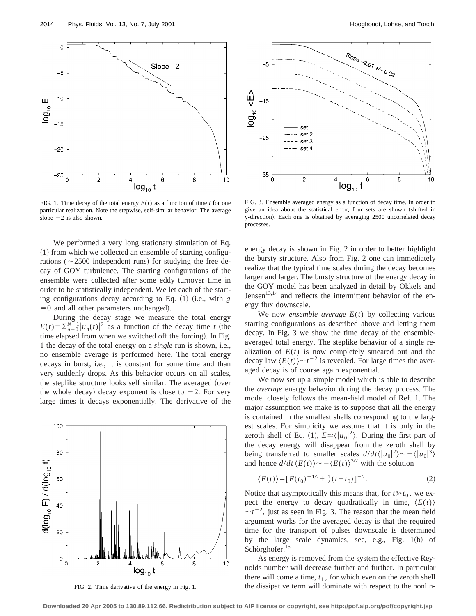

FIG. 1. Time decay of the total energy  $E(t)$  as a function of time *t* for one particular realization. Note the stepwise, self-similar behavior. The average slope  $-2$  is also shown.

We performed a very long stationary simulation of Eq.  $(1)$  from which we collected an ensemble of starting configurations ( $\sim$ 2500 independent runs) for studying the free decay of GOY turbulence. The starting configurations of the ensemble were collected after some eddy turnover time in order to be statistically independent. We let each of the starting configurations decay according to Eq. (1) (i.e., with *g*  $=0$  and all other parameters unchanged).

During the decay stage we measure the total energy  $E(t) = \sum_{n=0}^{N-1} |u_n(t)|^2$  as a function of the decay time *t* (the time elapsed from when we switched off the forcing). In Fig. 1 the decay of the total energy on a *single* run is shown, i.e., no ensemble average is performed here. The total energy decays in burst, i.e., it is constant for some time and than very suddenly drops. As this behavior occurs on all scales, the steplike structure looks self similar. The averaged (over the whole decay) decay exponent is close to  $-2$ . For very large times it decays exponentially. The derivative of the



FIG. 2. Time derivative of the energy in Fig. 1.



FIG. 3. Ensemble averaged energy as a function of decay time. In order to give an idea about the statistical error, four sets are shown (shifted in y-direction). Each one is obtained by averaging 2500 uncorrelated decay processes.

energy decay is shown in Fig. 2 in order to better highlight the bursty structure. Also from Fig. 2 one can immediately realize that the typical time scales during the decay becomes larger and larger. The bursty structure of the energy decay in the GOY model has been analyzed in detail by Okkels and Jensen $13,14$  and reflects the intermittent behavior of the energy flux downscale.

We now *ensemble average*  $E(t)$  by collecting various starting configurations as described above and letting them decay. In Fig. 3 we show the time decay of the ensembleaveraged total energy. The steplike behavior of a single realization of  $E(t)$  is now completely smeared out and the decay law  $\langle E(t) \rangle \sim t^{-2}$  is revealed. For large times the averaged decay is of course again exponential.

We now set up a simple model which is able to describe the *average* energy behavior during the decay process. The model closely follows the mean-field model of Ref. 1. The major assumption we make is to suppose that all the energy is contained in the smallest shells corresponding to the largest scales. For simplicity we assume that it is only in the zeroth shell of Eq. (1),  $E \approx \langle |u_0|^2 \rangle$ . During the first part of the decay energy will disappear from the zeroth shell by being transferred to smaller scales  $d/dt \langle |u_0|^2 \rangle \sim -\langle |u_0|^3 \rangle$ and hence  $d/dt \langle E(t) \rangle \sim -\langle E(t) \rangle^{3/2}$  with the solution

$$
\langle E(t) \rangle = [E(t_0)^{-1/2} + \frac{1}{2}(t - t_0)]^{-2}.
$$
 (2)

Notice that asymptotically this means that, for  $t \geq t_0$ , we expect the energy to decay quadratically in time,  $\langle E(t) \rangle$  $\sim t^{-2}$ , just as seen in Fig. 3. The reason that the mean field argument works for the averaged decay is that the required time for the transport of pulses downscale is determined by the large scale dynamics, see, e.g., Fig. 1(b) of Schörghofer.<sup>15</sup>

As energy is removed from the system the effective Reynolds number will decrease further and further. In particular there will come a time,  $t_1$ , for which even on the zeroth shell the dissipative term will dominate with respect to the nonlin-

**Downloaded 20 Apr 2005 to 130.89.112.66. Redistribution subject to AIP license or copyright, see http://pof.aip.org/pof/copyright.jsp**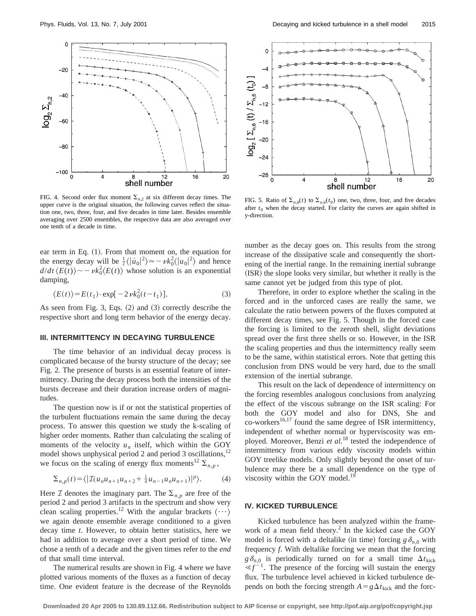

FIG. 4. Second order flux moment  $\Sigma_{n,2}$  at six different decay times. The upper curve is the original situation, the following curves reflect the situation one, two, three, four, and five decades in time later. Besides ensemble averaging over 2500 ensembles, the respective data are also averaged over one tenth of a decade in time.

ear term in Eq.  $(1)$ . From that moment on, the equation for the energy decay will be  $\frac{1}{2} \langle | \dot{u}_0 |^2 \rangle \approx - \nu k_0^2 \langle |u_0|^2 \rangle$  and hence  $d/dt \langle E(t) \rangle \sim - \nu k_0^2 \langle E(t) \rangle$  whose solution is an exponential damping,

$$
\langle E(t) \rangle = E(t_1) \cdot \exp[-2\nu k_0^2(t - t_1)]. \tag{3}
$$

As seen from Fig. 3, Eqs.  $(2)$  and  $(3)$  correctly describe the respective short and long term behavior of the energy decay.

### **III. INTERMITTENCY IN DECAYING TURBULENCE**

The time behavior of an individual decay process is complicated because of the bursty structure of the decay; see Fig. 2. The presence of bursts is an essential feature of intermittency. During the decay process both the intensities of the bursts decrease and their duration increase orders of magnitudes.

The question now is if or not the statistical properties of the turbulent fluctuations remain the same during the decay process. To answer this question we study the k-scaling of higher order moments. Rather than calculating the scaling of moments of the velocity  $u_n$  itself, which within the GOY model shows unphysical period 2 and period 3 oscillations,<sup>12</sup> we focus on the scaling of energy flux moments<sup>12</sup>  $\sum_{n,p}$ ,

$$
\sum_{n,p}(t) = \langle | \mathcal{I}(u_n u_{n+1} u_{n+2} + \frac{1}{4} u_{n-1} u_n u_{n+1}) |^p \rangle. \tag{4}
$$

Here *I* denotes the imaginary part. The  $\Sigma_{n,p}$  are free of the period 2 and period 3 artifacts in the spectrum and show very clean scaling properties.<sup>12</sup> With the angular brackets  $\langle \cdots \rangle$ we again denote ensemble average conditioned to a given decay time *t*. However, to obtain better statistics, here we had in addition to average over a short period of time. We chose a tenth of a decade and the given times refer to the *end* of that small time interval.

The numerical results are shown in Fig. 4 where we have plotted various moments of the fluxes as a function of decay time. One evident feature is the decrease of the Reynolds



FIG. 5. Ratio of  $\Sigma_{n,6}(t)$  to  $\Sigma_{n,6}(t_0)$  one, two, three, four, and five decades after  $t_0$  when the decay started. For clarity the curves are again shifted in y-direction.

number as the decay goes on. This results from the strong increase of the dissipative scale and consequently the shortening of the inertial range. In the remaining inertial subrange (ISR) the slope looks very similar, but whether it really is the same cannot yet be judged from this type of plot.

Therefore, in order to explore whether the scaling in the forced and in the unforced cases are really the same, we calculate the ratio between powers of the fluxes computed at different decay times, see Fig. 5. Though in the forced case the forcing is limited to the zeroth shell, slight deviations spread over the first three shells or so. However, in the ISR the scaling properties and thus the intermittency really seem to be the same, within statistical errors. Note that getting this conclusion from DNS would be very hard, due to the small extension of the inertial subrange.

This result on the lack of dependence of intermittency on the forcing resembles analogous conclusions from analyzing the effect of the viscous subrange on the ISR scaling: For both the GOY model and also for DNS, She and co-workers<sup>16,17</sup> found the same degree of ISR intermittency, independent of whether normal or hyperviscosity was employed. Moreover, Benzi *et al.*<sup>18</sup> tested the independence of intermittency from various eddy viscosity models within GOY treelike models. Only slightly beyond the onset of turbulence may there be a small dependence on the type of viscosity within the GOY model.<sup>19</sup>

#### **IV. KICKED TURBULENCE**

Kicked turbulence has been analyzed within the framework of a mean field theory.<sup>2</sup> In the kicked case the GOY model is forced with a deltalike (in time) forcing  $g \delta_{n,0}$  with frequency *f*. With deltalike forcing we mean that the forcing  $g \delta_{n,0}$  is periodically turned on for a small time  $\Delta t_{\text{kick}}$  $\leq f^{-1}$ . The presence of the forcing will sustain the energy flux. The turbulence level achieved in kicked turbulence depends on both the forcing strength  $A = g \Delta t_{\text{kick}}$  and the forc-

**Downloaded 20 Apr 2005 to 130.89.112.66. Redistribution subject to AIP license or copyright, see http://pof.aip.org/pof/copyright.jsp**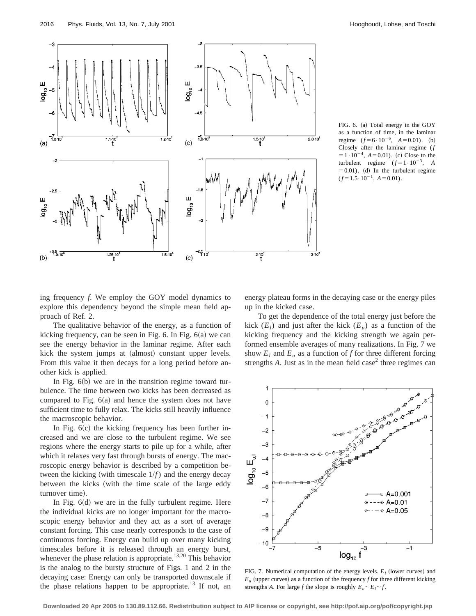

FIG. 6. (a) Total energy in the GOY as a function of time, in the laminar regime  $(f=6 \cdot 10^{-6}, A=0.01)$ . (b) Closely after the laminar regime (*f*  $=1.10^{-4}$ ,  $A=0.01$ ). (c) Close to the turbulent regime  $(f=1 \cdot 10^{-3}, A)$  $(50.01)$ . (d) In the turbulent regime  $(f=1.5\cdot 10^{-1}, A=0.01).$ 

ing frequency *f*. We employ the GOY model dynamics to explore this dependency beyond the simple mean field approach of Ref. 2.

The qualitative behavior of the energy, as a function of kicking frequency, can be seen in Fig.  $6$ . In Fig.  $6(a)$  we can see the energy behavior in the laminar regime. After each kick the system jumps at (almost) constant upper levels. From this value it then decays for a long period before another kick is applied.

In Fig.  $6(b)$  we are in the transition regime toward turbulence. The time between two kicks has been decreased as compared to Fig.  $6(a)$  and hence the system does not have sufficient time to fully relax. The kicks still heavily influence the macroscopic behavior.

In Fig.  $6(c)$  the kicking frequency has been further increased and we are close to the turbulent regime. We see regions where the energy starts to pile up for a while, after which it relaxes very fast through bursts of energy. The macroscopic energy behavior is described by a competition between the kicking (with timescale  $1/f$ ) and the energy decay between the kicks (with the time scale of the large eddy turnover time).

In Fig.  $6(d)$  we are in the fully turbulent regime. Here the individual kicks are no longer important for the macroscopic energy behavior and they act as a sort of average constant forcing. This case nearly corresponds to the case of continuous forcing. Energy can build up over many kicking timescales before it is released through an energy burst, whenever the phase relation is appropriate.<sup>13,20</sup> This behavior is the analog to the bursty structure of Figs. 1 and 2 in the decaying case: Energy can only be transported downscale if the phase relations happen to be appropriate.<sup>13</sup> If not, an energy plateau forms in the decaying case or the energy piles up in the kicked case.

To get the dependence of the total energy just before the kick  $(E_l)$  and just after the kick  $(E_u)$  as a function of the kicking frequency and the kicking strength we again performed ensemble averages of many realizations. In Fig. 7 we show  $E_l$  and  $E_u$  as a function of *f* for three different forcing strengths  $A$ . Just as in the mean field case<sup>2</sup> three regimes can



FIG. 7. Numerical computation of the energy levels.  $E_l$  (lower curves) and  $E_u$  (upper curves) as a function of the frequency *f* for three different kicking strengths *A*. For large *f* the slope is roughly  $E_u \sim E_l \sim f$ .

**Downloaded 20 Apr 2005 to 130.89.112.66. Redistribution subject to AIP license or copyright, see http://pof.aip.org/pof/copyright.jsp**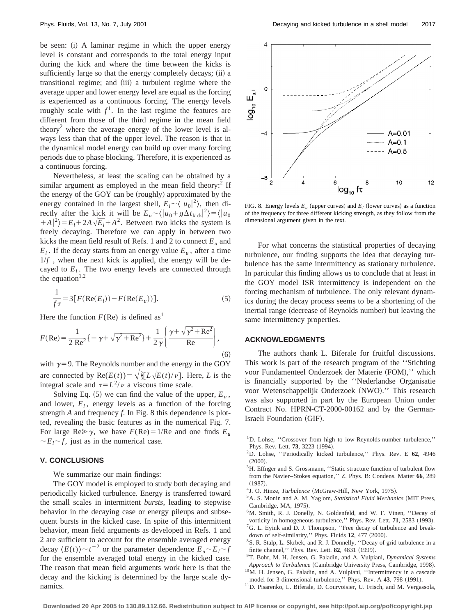be seen: (i) A laminar regime in which the upper energy level is constant and corresponds to the total energy input during the kick and where the time between the kicks is sufficiently large so that the energy completely decays; (ii) a transitional regime; and (iii) a turbulent regime where the average upper and lower energy level are equal as the forcing is experienced as a continuous forcing. The energy levels roughly scale with  $f<sup>1</sup>$ . In the last regime the features are different from those of the third regime in the mean field theory<sup>2</sup> where the average energy of the lower level is always less than that of the upper level. The reason is that in the dynamical model energy can build up over many forcing periods due to phase blocking. Therefore, it is experienced as a continuous forcing.

Nevertheless, at least the scaling can be obtained by a similar argument as employed in the mean field theory: $2$  If the energy of the GOY can be (roughly) approximated by the energy contained in the largest shell,  $E_l \sim \langle |u_0|^2 \rangle$ , then directly after the kick it will be  $E_u \sim \langle |u_0 + g \Delta t_{\text{kick}}|^2 \rangle = \langle |u_0|$  $+A|^2$ )= $E_l + 2A\sqrt{E_l} + A^2$ . Between two kicks the system is freely decaying. Therefore we can apply in between two kicks the mean field result of Refs. 1 and 2 to connect  $E_u$  and  $E_l$ . If the decay starts from an energy value  $E_u$ , after a time  $1/f$ , when the next kick is applied, the energy will be decayed to  $E_l$ . The two energy levels are connected through the equation $1,2$ 

$$
\frac{1}{f\tau} = 3[F(\text{Re}(E_l)) - F(\text{Re}(E_u))].\tag{5}
$$

Here the function  $F(\text{Re})$  is defined as<sup>1</sup>

$$
F(\text{Re}) = \frac{1}{2 \text{ Re}^2} \{ -\gamma + \sqrt{\gamma^2 + \text{Re}^2} \} + \frac{1}{2 \gamma} \left\{ \frac{\gamma + \sqrt{\gamma^2 + \text{Re}^2}}{\text{Re}} \right\},\tag{6}
$$

with  $\gamma=9$ . The Reynolds number and the energy in the GOY are connected by  $\text{Re}(E(t)) = \sqrt{\frac{2}{3}}[L\sqrt{E(t)/v}]$ . Here, *L* is the integral scale and  $\tau = L^2/\nu$  a viscous time scale.

Solving Eq.  $(5)$  we can find the value of the upper,  $E_u$ , and lower,  $E_l$ , energy levels as a function of the forcing strength *A* and frequency *f*. In Fig. 8 this dependence is plotted, revealing the basic features as in the numerical Fig. 7. For large Re $\gg \gamma$ , we have  $F(\text{Re})=1/\text{Re}$  and one finds  $E_u$  $\sim E_l \sim f$ , just as in the numerical case.

#### **V. CONCLUSIONS**

We summarize our main findings:

The GOY model is employed to study both decaying and periodically kicked turbulence. Energy is transferred toward the small scales in intermittent *bursts*, leading to stepwise behavior in the decaying case or energy pileups and subsequent bursts in the kicked case. In spite of this intermittent behavior, mean field arguments as developed in Refs. 1 and 2 are sufficient to account for the ensemble averaged energy decay  $\langle E(t) \rangle \sim t^{-2}$  or the parameter dependence  $E_u \sim E_l \sim f$ for the ensemble averaged total energy in the kicked case. The reason that mean field arguments work here is that the decay and the kicking is determined by the large scale dynamics.



FIG. 8. Energy levels  $E_u$  (upper curves) and  $E_l$  (lower curves) as a function of the frequency for three different kicking strength, as they follow from the dimensional argument given in the text.

For what concerns the statistical properties of decaying turbulence, our finding supports the idea that decaying turbulence has the same intermittency as stationary turbulence. In particular this finding allows us to conclude that at least in the GOY model ISR intermittency is independent on the forcing mechanism of turbulence. The only relevant dynamics during the decay process seems to be a shortening of the inertial range (decrease of Reynolds number) but leaving the same intermittency properties.

### **ACKNOWLEDGMENTS**

The authors thank L. Biferale for fruitful discussions. This work is part of the research program of the ''Stichting voor Fundamenteel Onderzoek der Materie (FOM)," which is financially supported by the ''Nederlandse Organisatie voor Wetenschappelijk Onderzoek (NWO)." This research was also supported in part by the European Union under Contract No. HPRN-CT-2000-00162 and by the German-Israeli Foundation (GIF).

- 2D. Lohse, ''Periodically kicked turbulence,'' Phys. Rev. E **62**, 4946  $(2000)$ .
- <sup>3</sup>H. Effnger and S. Grossmann, "Static structure function of turbulent flow from the Navier–Stokes equation,'' Z. Phys. B: Condens. Matter **66**, 289  $(1987).$
- <sup>4</sup>J. O. Hinze, *Turbulence* (McGraw-Hill, New York, 1975).
- <sup>5</sup>A. S. Monin and A. M. Yaglom, *Statistical Fluid Mechanics* (MIT Press, Cambridge, MA, 1975).
- 6M. Smith, R. J. Donelly, N. Goldenfeld, and W. F. Vinen, ''Decay of vorticity in homogeneous turbulence," Phys. Rev. Lett. 71, 2583 (1993). <sup>7</sup>G. L. Eyink and D. J. Thompson, "Free decay of turbulence and break-
- down of self-similarity," Phys. Fluids 12, 477 (2000). 8S. R. Stalp, L. Skrbek, and R. J. Donnelly, ''Decay of grid turbulence in a
- finite channel," Phys. Rev. Lett. **82**, 4831 (1999).
- 9T. Bohr, M. H. Jensen, G. Paladin, and A. Vulpiani, *Dynamical Systems* Approach to Turbulence (Cambridge University Press, Cambridge, 1998). <sup>10</sup>M. H. Jensen, G. Paladin, and A. Vulpiani, "Intermittency in a cascade
- model for 3-dimensional turbulence," Phys. Rev. A 43, 798 (1991).
- 11D. Pisarenko, L. Biferale, D. Courvoisier, U. Frisch, and M. Vergassola,

<sup>&</sup>lt;sup>1</sup>D. Lohse, "Crossover from high to low-Reynolds-number turbulence," Phys. Rev. Lett. **73**, 3223 (1994).